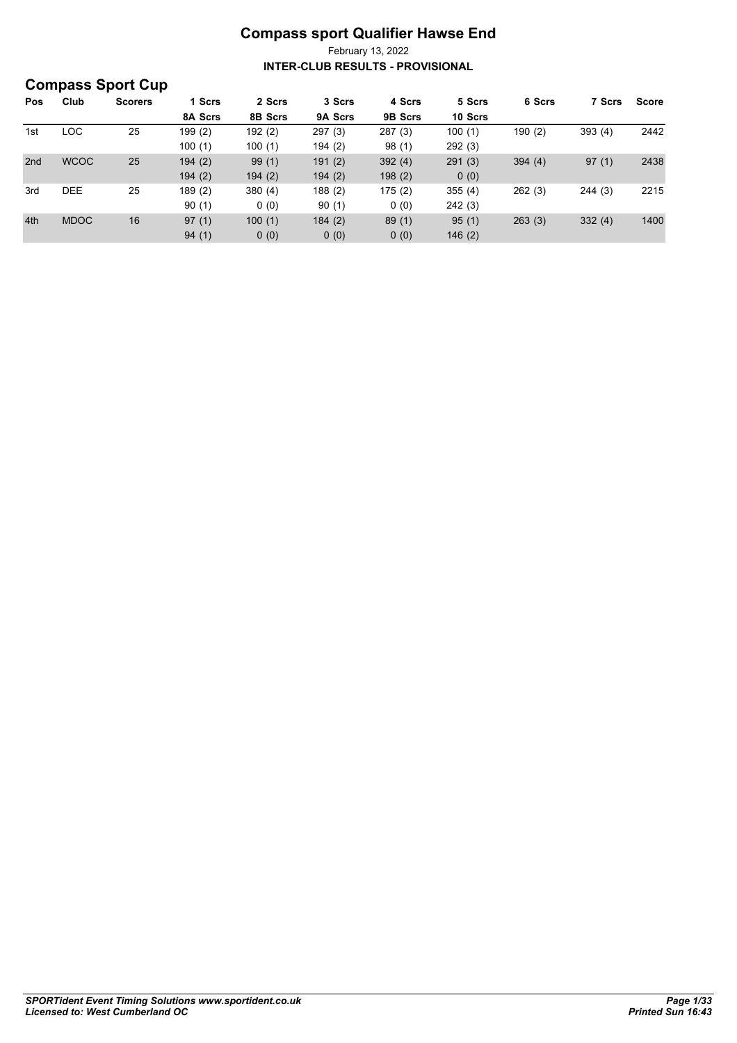|     | <b>Compass Sport Cup</b> |                |         |         |         |         |         |        |        |              |
|-----|--------------------------|----------------|---------|---------|---------|---------|---------|--------|--------|--------------|
| Pos | Club                     | <b>Scorers</b> | 1 Scrs  | 2 Scrs  | 3 Scrs  | 4 Scrs  | 5 Scrs  | 6 Scrs | 7 Scrs | <b>Score</b> |
|     |                          |                | 8A Scrs | 8B Scrs | 9A Scrs | 9B Scrs | 10 Scrs |        |        |              |
| 1st | <b>LOC</b>               | 25             | 199 (2) | 192(2)  | 297(3)  | 287(3)  | 100(1)  | 190(2) | 393(4) | 2442         |
|     |                          |                | 100(1)  | 100(1)  | 194 (2) | 98(1)   | 292(3)  |        |        |              |
| 2nd | <b>WCOC</b>              | 25             | 194(2)  | 99(1)   | 191(2)  | 392(4)  | 291(3)  | 394(4) | 97(1)  | 2438         |
|     |                          |                | 194(2)  | 194(2)  | 194(2)  | 198(2)  | 0(0)    |        |        |              |
| 3rd | <b>DEE</b>               | 25             | 189(2)  | 380(4)  | 188(2)  | 175(2)  | 355(4)  | 262(3) | 244(3) | 2215         |
|     |                          |                | 90(1)   | 0(0)    | 90(1)   | 0(0)    | 242(3)  |        |        |              |
| 4th | <b>MDOC</b>              | 16             | 97(1)   | 100(1)  | 184(2)  | 89(1)   | 95(1)   | 263(3) | 332(4) | 1400         |
|     |                          |                | 94(1)   | 0(0)    | 0(0)    | 0(0)    | 146(2)  |        |        |              |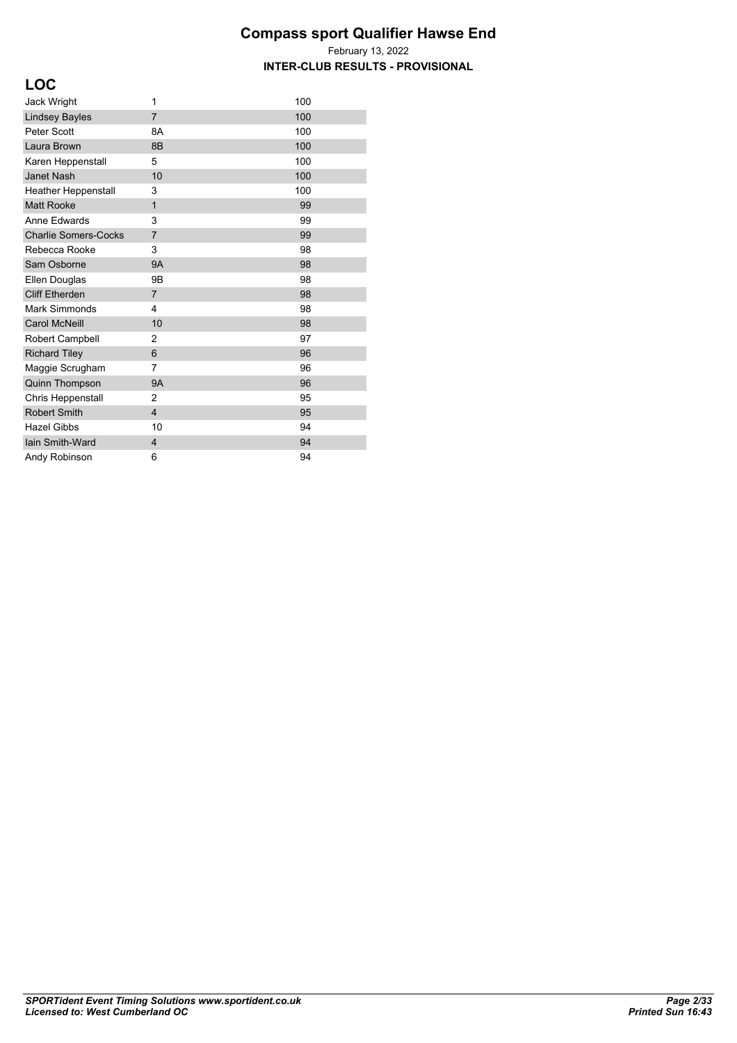| ×<br>۰.<br>×<br>۰.<br>۰.<br>.,<br>- |
|-------------------------------------|
|-------------------------------------|

| <b>Jack Wright</b>          | 1                       | 100 |
|-----------------------------|-------------------------|-----|
| <b>Lindsey Bayles</b>       | $\overline{7}$          | 100 |
| Peter Scott                 | 8A                      | 100 |
| Laura Brown                 | 8B                      | 100 |
| Karen Heppenstall           | 5                       | 100 |
| <b>Janet Nash</b>           | 10                      | 100 |
| Heather Heppenstall         | 3                       | 100 |
| <b>Matt Rooke</b>           | $\mathbf{1}$            | 99  |
| Anne Edwards                | 3                       | 99  |
| <b>Charlie Somers-Cocks</b> | $\overline{7}$          | 99  |
| Rebecca Rooke               | 3                       | 98  |
| Sam Osborne                 | <b>9A</b>               | 98  |
| Ellen Douglas               | 9Β                      | 98  |
| <b>Cliff Etherden</b>       | $\overline{7}$          | 98  |
| Mark Simmonds               | 4                       | 98  |
| <b>Carol McNeill</b>        | 10                      | 98  |
| Robert Campbell             | $\overline{2}$          | 97  |
| <b>Richard Tiley</b>        | 6                       | 96  |
| Maggie Scrugham             | 7                       | 96  |
| Quinn Thompson              | <b>9A</b>               | 96  |
| Chris Heppenstall           | 2                       | 95  |
| <b>Robert Smith</b>         | $\overline{\mathbf{4}}$ | 95  |
| <b>Hazel Gibbs</b>          | 10                      | 94  |
| lain Smith-Ward             | 4                       | 94  |
| Andy Robinson               | 6                       | 94  |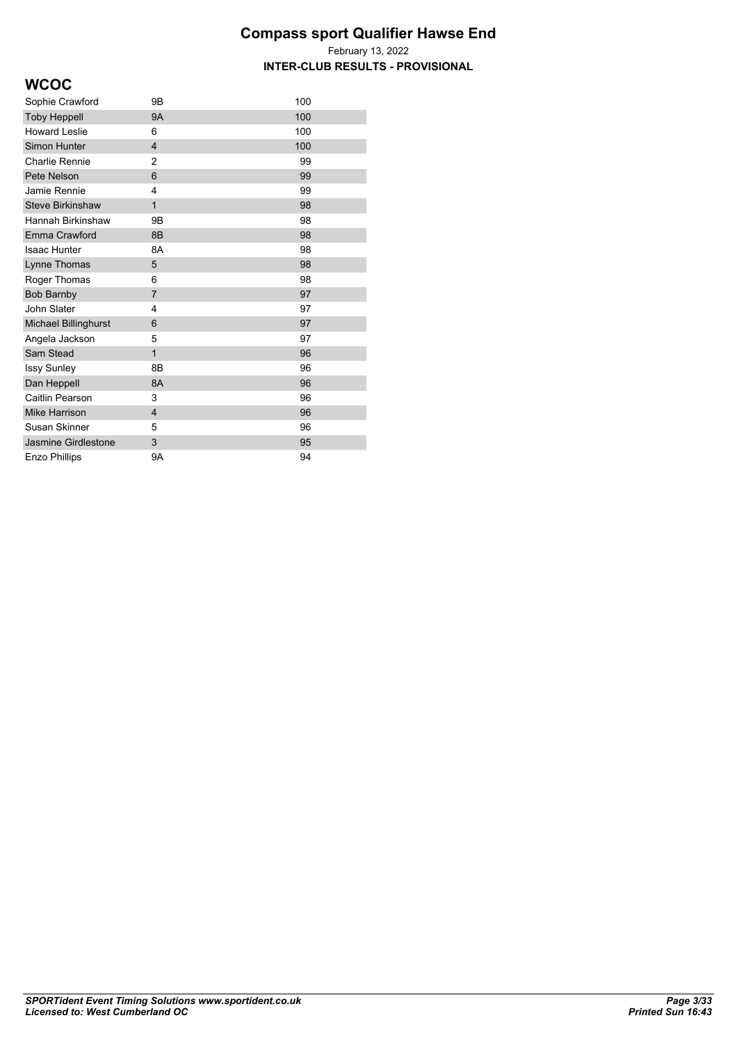February 13, 2022 **INTER-CLUB RESULTS - PROVISIONAL**

## **WCOC**

| Sophie Crawford         | 9Β             | 100 |
|-------------------------|----------------|-----|
| <b>Toby Heppell</b>     | <b>9A</b>      | 100 |
| <b>Howard Leslie</b>    | 6              | 100 |
| Simon Hunter            | $\overline{4}$ | 100 |
| <b>Charlie Rennie</b>   | $\overline{2}$ | 99  |
| Pete Nelson             | 6              | 99  |
| Jamie Rennie            | 4              | 99  |
| <b>Steve Birkinshaw</b> | $\overline{1}$ | 98  |
| Hannah Birkinshaw       | 9Β             | 98  |
| <b>Emma Crawford</b>    | 8B             | 98  |
| <b>Isaac Hunter</b>     | 8A             | 98  |
| Lynne Thomas            | 5              | 98  |
| Roger Thomas            | 6              | 98  |
| <b>Bob Barnby</b>       | 7              | 97  |
| John Slater             | 4              | 97  |
| Michael Billinghurst    | 6              | 97  |
| Angela Jackson          | 5              | 97  |
| Sam Stead               | $\mathbf{1}$   | 96  |
| <b>Issy Sunley</b>      | 8B             | 96  |
| Dan Heppell             | 8A             | 96  |
| Caitlin Pearson         | 3              | 96  |
| Mike Harrison           | $\overline{4}$ | 96  |
| Susan Skinner           | 5              | 96  |
| Jasmine Girdlestone     | 3              | 95  |
| Enzo Phillips           | 9Α             | 94  |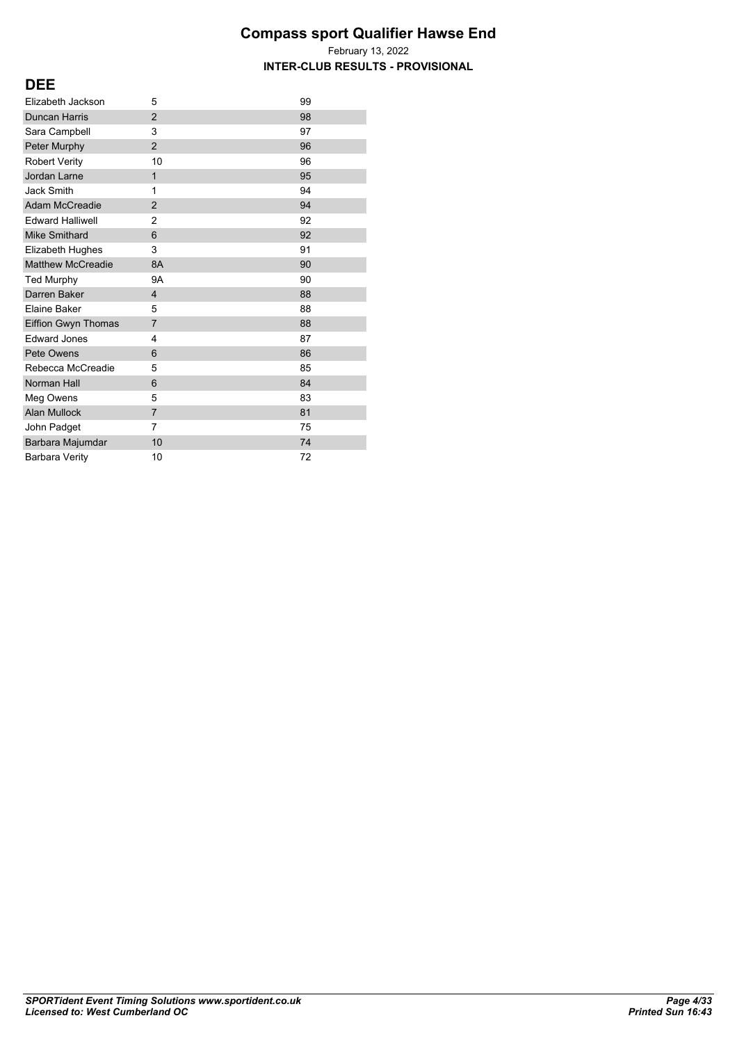February 13, 2022 **INTER-CLUB RESULTS - PROVISIONAL**

#### **DEE**

| Elizabeth Jackson        | 5              | 99 |
|--------------------------|----------------|----|
| <b>Duncan Harris</b>     | $\overline{2}$ | 98 |
| Sara Campbell            | 3              | 97 |
| Peter Murphy             | $\overline{2}$ | 96 |
| <b>Robert Verity</b>     | 10             | 96 |
| Jordan Larne             | 1              | 95 |
| <b>Jack Smith</b>        | 1              | 94 |
| <b>Adam McCreadie</b>    | $\overline{2}$ | 94 |
| <b>Edward Halliwell</b>  | 2              | 92 |
| <b>Mike Smithard</b>     | 6              | 92 |
| Elizabeth Hughes         | 3              | 91 |
| <b>Matthew McCreadie</b> | 8A             | 90 |
| <b>Ted Murphy</b>        | 9A             | 90 |
| Darren Baker             | 4              | 88 |
| Elaine Baker             | 5              | 88 |
| Eiffion Gwyn Thomas      | 7              | 88 |
| <b>Edward Jones</b>      | 4              | 87 |
| Pete Owens               | 6              | 86 |
| Rebecca McCreadie        | 5              | 85 |
| Norman Hall              | 6              | 84 |
| Meg Owens                | 5              | 83 |
| <b>Alan Mullock</b>      | $\overline{7}$ | 81 |
| John Padget              | 7              | 75 |
| Barbara Majumdar         | 10             | 74 |
| <b>Barbara Verity</b>    | 10             | 72 |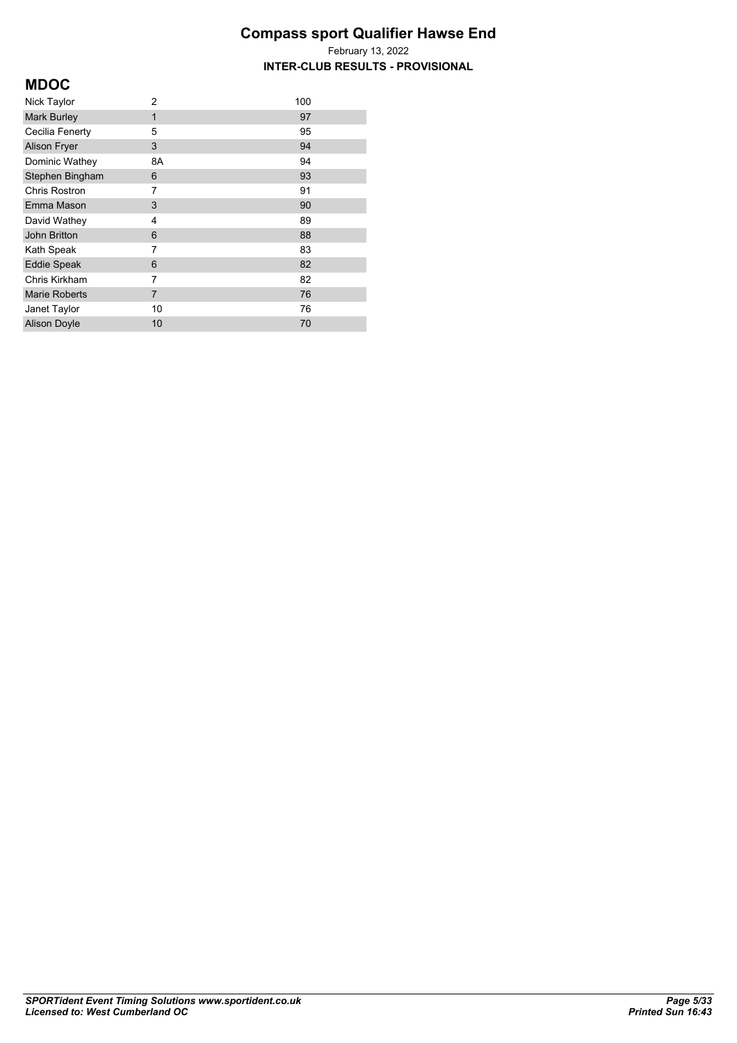February 13, 2022 **INTER-CLUB RESULTS - PROVISIONAL**

## **MDOC**

| Nick Taylor          | 2  | 100 |
|----------------------|----|-----|
| <b>Mark Burley</b>   | 1  | 97  |
| Cecilia Fenerty      | 5  | 95  |
| <b>Alison Fryer</b>  | 3  | 94  |
| Dominic Wathey       | 8A | 94  |
| Stephen Bingham      | 6  | 93  |
| <b>Chris Rostron</b> | 7  | 91  |
| Emma Mason           | 3  | 90  |
| David Wathey         | 4  | 89  |
| John Britton         | 6  | 88  |
| Kath Speak           | 7  | 83  |
| <b>Eddie Speak</b>   | 6  | 82  |
| Chris Kirkham        | 7  | 82  |
| <b>Marie Roberts</b> | 7  | 76  |
| Janet Taylor         | 10 | 76  |
| <b>Alison Doyle</b>  | 10 | 70  |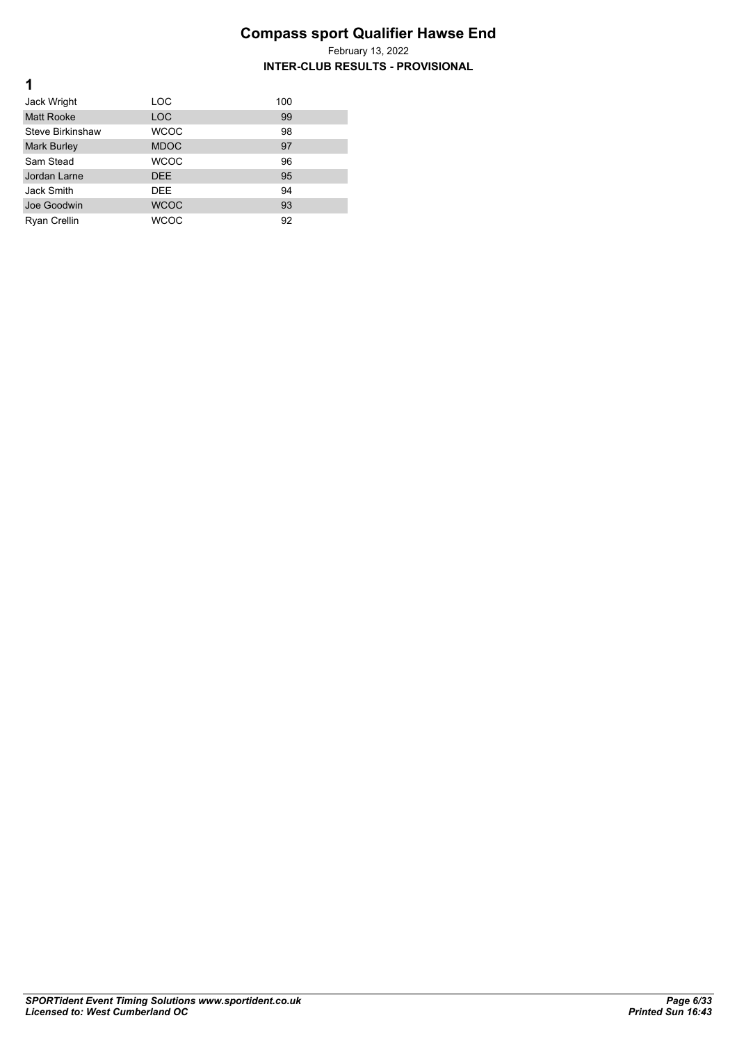February 13, 2022 **INTER-CLUB RESULTS - PROVISIONAL**

| Jack Wright         | LOC         | 100 |
|---------------------|-------------|-----|
| <b>Matt Rooke</b>   | <b>LOC</b>  | 99  |
| Steve Birkinshaw    | <b>WCOC</b> | 98  |
| <b>Mark Burley</b>  | <b>MDOC</b> | 97  |
| Sam Stead           | <b>WCOC</b> | 96  |
| Jordan Larne        | <b>DEE</b>  | 95  |
| Jack Smith          | <b>DEE</b>  | 94  |
| Joe Goodwin         | <b>WCOC</b> | 93  |
| <b>Ryan Crellin</b> | WCOC        | 92  |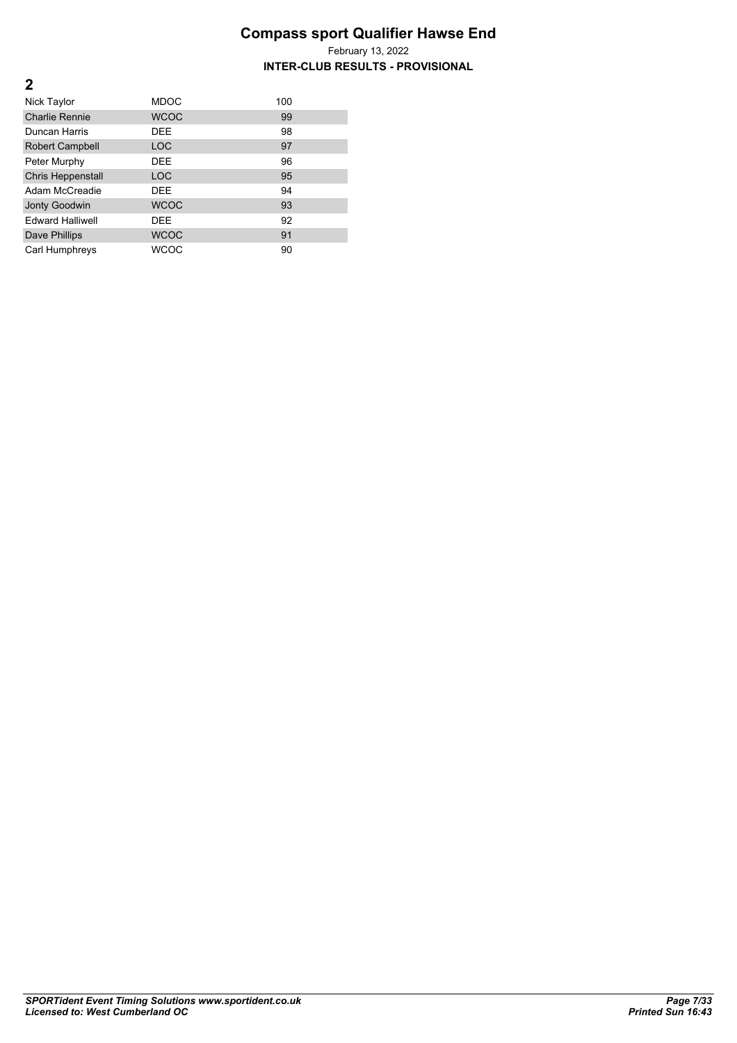| Nick Taylor              | <b>MDOC</b> | 100 |
|--------------------------|-------------|-----|
| <b>Charlie Rennie</b>    | <b>WCOC</b> | 99  |
| Duncan Harris            | <b>DEE</b>  | 98  |
| Robert Campbell          | <b>LOC</b>  | 97  |
| Peter Murphy             | <b>DEE</b>  | 96  |
| <b>Chris Heppenstall</b> | <b>LOC</b>  | 95  |
| Adam McCreadie           | <b>DEE</b>  | 94  |
| <b>Jonty Goodwin</b>     | <b>WCOC</b> | 93  |
| <b>Fdward Halliwell</b>  | <b>DEE</b>  | 92  |
| Dave Phillips            | <b>WCOC</b> | 91  |
| Carl Humphreys           | WCOC        | 90  |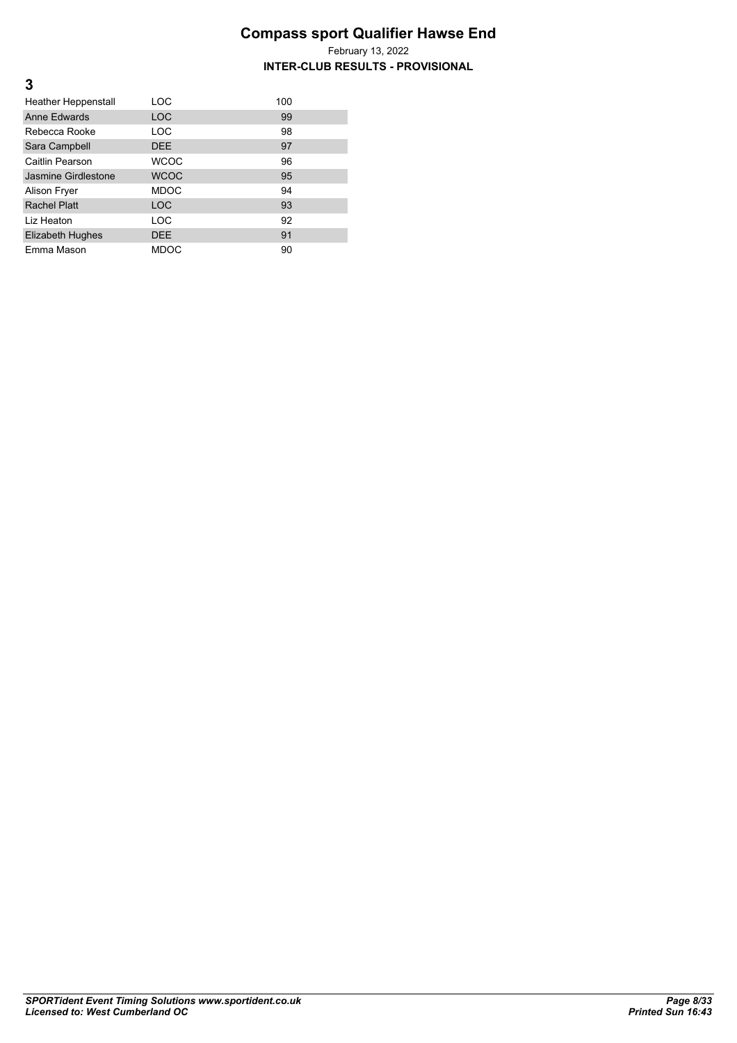#### **INTER-CLUB RESULTS - PROVISIONAL**

| <b>Heather Heppenstall</b> | LOC         | 100 |
|----------------------------|-------------|-----|
| Anne Fdwards               | <b>LOC</b>  | 99  |
| Rebecca Rooke              | LOC         | 98  |
| Sara Campbell              | <b>DEE</b>  | 97  |
| Caitlin Pearson            | <b>WCOC</b> | 96  |
| Jasmine Girdlestone        | <b>WCOC</b> | 95  |
| Alison Fryer               | <b>MDOC</b> | 94  |
| Rachel Platt               | LOC         | 93  |
| Liz Heaton                 | LOC         | 92  |
| Elizabeth Hughes           | <b>DEE</b>  | 91  |
| Emma Mason                 | <b>MDOC</b> | 90  |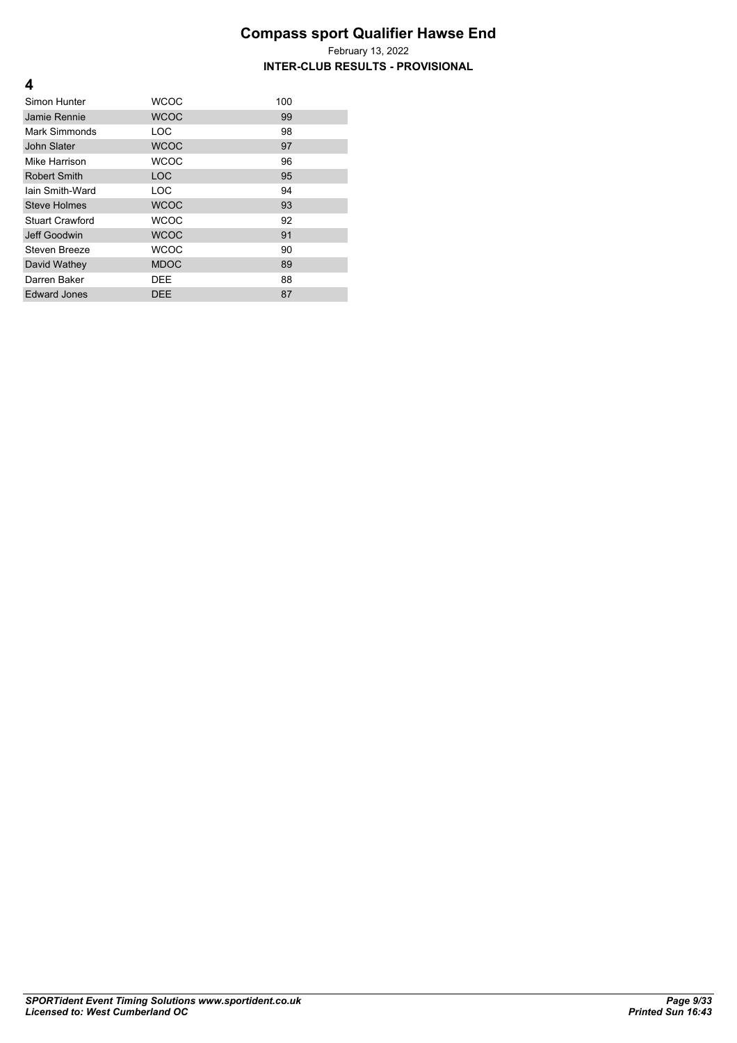February 13, 2022 **INTER-CLUB RESULTS - PROVISIONAL**

| Simon Hunter        | WCOC        | 100 |
|---------------------|-------------|-----|
| Jamie Rennie        | <b>WCOC</b> | 99  |
| Mark Simmonds       | LOC         | 98  |
| John Slater         | <b>WCOC</b> | 97  |
| Mike Harrison       | <b>WCOC</b> | 96  |
| <b>Robert Smith</b> | <b>LOC</b>  | 95  |
| lain Smith-Ward     | <b>LOC</b>  | 94  |
| <b>Steve Holmes</b> | <b>WCOC</b> | 93  |
| Stuart Crawford     | <b>WCOC</b> | 92  |
| Jeff Goodwin        | <b>WCOC</b> | 91  |
| Steven Breeze       | <b>WCOC</b> | 90  |
| David Wathey        | <b>MDOC</b> | 89  |
| Darren Baker        | <b>DEE</b>  | 88  |
| <b>Edward Jones</b> | <b>DEE</b>  | 87  |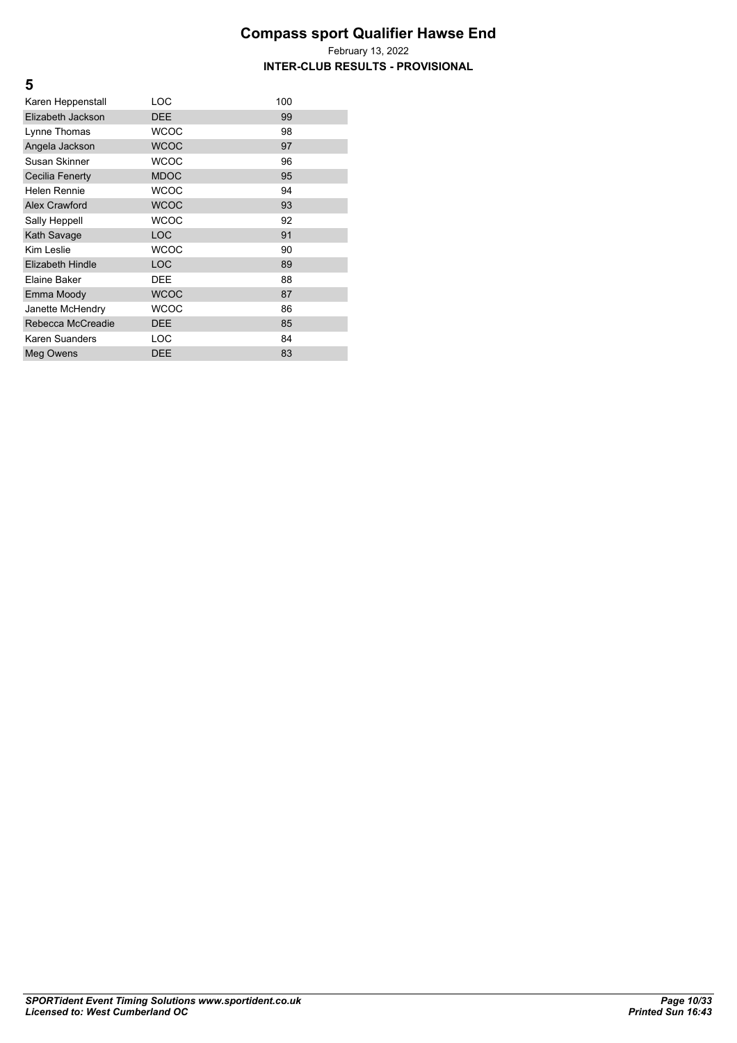#### **Compass sport Qualifier Hawse End** February 13, 2022 **INTER-CLUB RESULTS - PROVISIONAL**

| Karen Heppenstall    | LOC         | 100 |
|----------------------|-------------|-----|
| Elizabeth Jackson    | <b>DEE</b>  | 99  |
| Lynne Thomas         | <b>WCOC</b> | 98  |
| Angela Jackson       | <b>WCOC</b> | 97  |
| Susan Skinner        | <b>WCOC</b> | 96  |
| Cecilia Fenerty      | <b>MDOC</b> | 95  |
| Helen Rennie         | <b>WCOC</b> | 94  |
| <b>Alex Crawford</b> | <b>WCOC</b> | 93  |
| Sally Heppell        | <b>WCOC</b> | 92  |
| Kath Savage          | <b>LOC</b>  | 91  |
| Kim Leslie           | <b>WCOC</b> | 90  |
| Elizabeth Hindle     | <b>LOC</b>  | 89  |
| Elaine Baker         | <b>DEE</b>  | 88  |
| Emma Moody           | <b>WCOC</b> | 87  |
| Janette McHendry     | <b>WCOC</b> | 86  |
| Rebecca McCreadie    | <b>DEE</b>  | 85  |
| Karen Suanders       | LOC         | 84  |
| Meg Owens            | <b>DEE</b>  | 83  |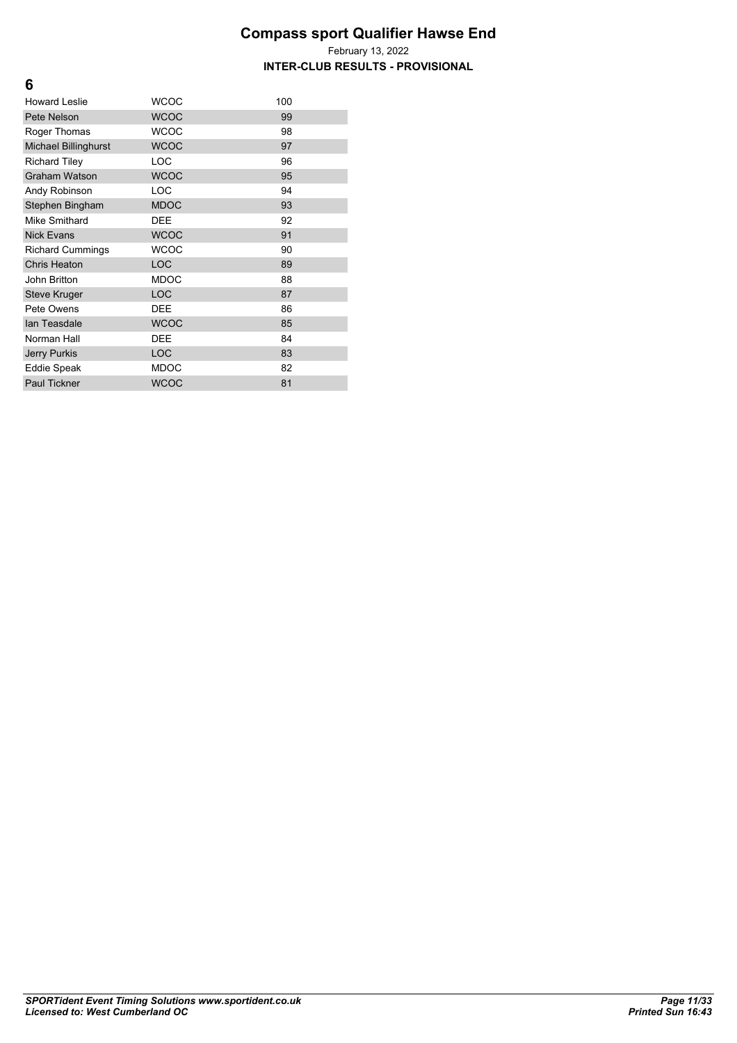**INTER-CLUB RESULTS - PROVISIONAL**

| <b>Howard Leslie</b>    | <b>WCOC</b> | 100 |
|-------------------------|-------------|-----|
| Pete Nelson             | <b>WCOC</b> | 99  |
| Roger Thomas            | <b>WCOC</b> | 98  |
| Michael Billinghurst    | <b>WCOC</b> | 97  |
| <b>Richard Tiley</b>    | LOC         | 96  |
| <b>Graham Watson</b>    | <b>WCOC</b> | 95  |
| Andy Robinson           | LOC         | 94  |
| Stephen Bingham         | <b>MDOC</b> | 93  |
| Mike Smithard           | <b>DEE</b>  | 92  |
| <b>Nick Evans</b>       | <b>WCOC</b> | 91  |
| <b>Richard Cummings</b> | <b>WCOC</b> | 90  |
| <b>Chris Heaton</b>     | <b>LOC</b>  | 89  |
| John Britton            | <b>MDOC</b> | 88  |
| <b>Steve Kruger</b>     | <b>LOC</b>  | 87  |
| Pete Owens              | <b>DEE</b>  | 86  |
| lan Teasdale            | <b>WCOC</b> | 85  |
| Norman Hall             | <b>DEE</b>  | 84  |
| <b>Jerry Purkis</b>     | LOC         | 83  |
| <b>Eddie Speak</b>      | <b>MDOC</b> | 82  |
| <b>Paul Tickner</b>     | <b>WCOC</b> | 81  |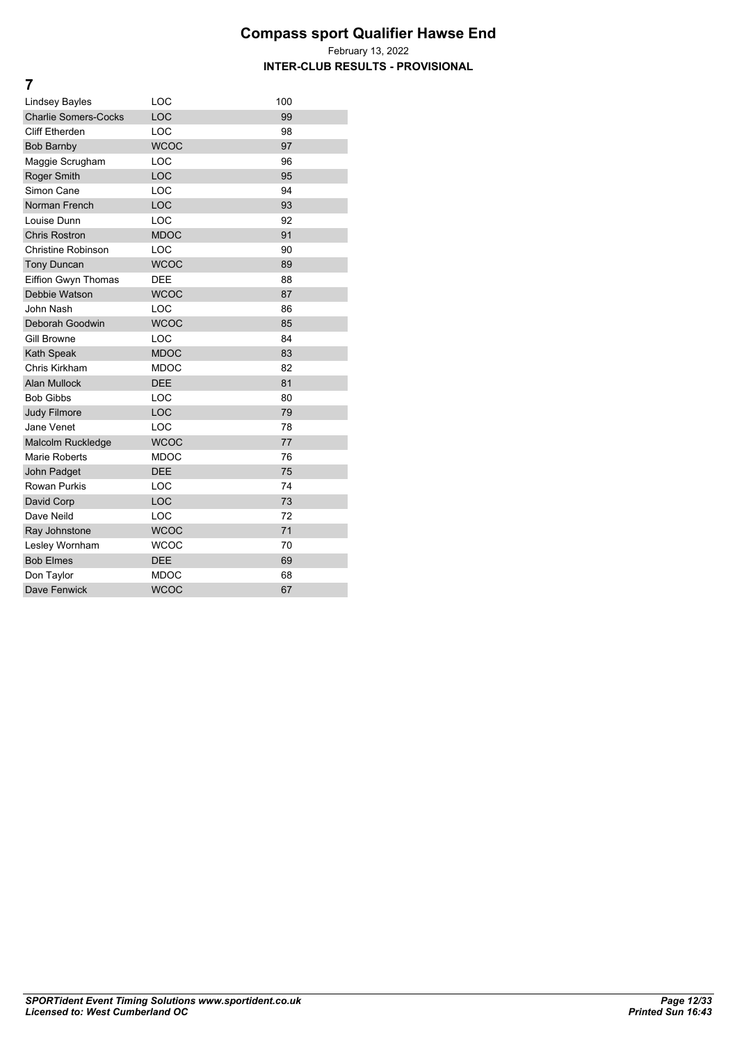#### **Compass sport Qualifier Hawse End** February 13, 2022 **INTER-CLUB RESULTS - PROVISIONAL**

| Lindsey Bayles              | LOC         | 100 |
|-----------------------------|-------------|-----|
| <b>Charlie Somers-Cocks</b> | LOC         | 99  |
| Cliff Etherden              | LOC         | 98  |
| <b>Bob Barnby</b>           | <b>WCOC</b> | 97  |
| Maggie Scrugham             | LOC         | 96  |
| <b>Roger Smith</b>          | LOC         | 95  |
| Simon Cane                  | LOC         | 94  |
| Norman French               | LOC         | 93  |
| Louise Dunn                 | LOC         | 92  |
| <b>Chris Rostron</b>        | <b>MDOC</b> | 91  |
| <b>Christine Robinson</b>   | LOC         | 90  |
| <b>Tony Duncan</b>          | <b>WCOC</b> | 89  |
| Eiffion Gwyn Thomas         | <b>DEE</b>  | 88  |
| Debbie Watson               | <b>WCOC</b> | 87  |
| John Nash                   | LOC         | 86  |
| Deborah Goodwin             | <b>WCOC</b> | 85  |
| <b>Gill Browne</b>          | LOC         | 84  |
| Kath Speak                  | <b>MDOC</b> | 83  |
| Chris Kirkham               | <b>MDOC</b> | 82  |
| Alan Mullock                | <b>DEE</b>  | 81  |
| <b>Bob Gibbs</b>            | LOC         | 80  |
| Judy Filmore                | LOC         | 79  |
| Jane Venet                  | LOC         | 78  |
| Malcolm Ruckledge           | <b>WCOC</b> | 77  |
| Marie Roberts               | <b>MDOC</b> | 76  |
| John Padget                 | <b>DEE</b>  | 75  |
| <b>Rowan Purkis</b>         | LOC         | 74  |
| David Corp                  | <b>LOC</b>  | 73  |
| Dave Neild                  | LOC         | 72  |
| Ray Johnstone               | <b>WCOC</b> | 71  |
| Lesley Wornham              | <b>WCOC</b> | 70  |
| <b>Bob Elmes</b>            | <b>DEE</b>  | 69  |
| Don Taylor                  | <b>MDOC</b> | 68  |
| Dave Fenwick                | <b>WCOC</b> | 67  |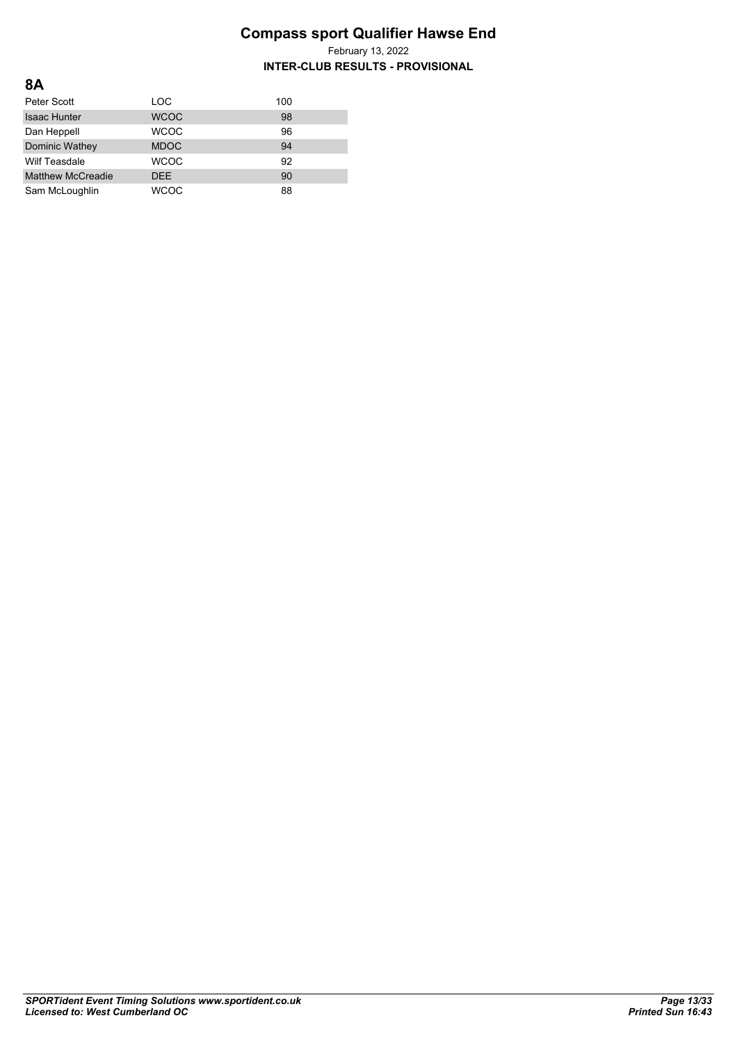| <b>8A</b>                |             |     |
|--------------------------|-------------|-----|
| Peter Scott              | <b>LOC</b>  | 100 |
| <b>Isaac Hunter</b>      | <b>WCOC</b> | 98  |
| Dan Heppell              | <b>WCOC</b> | 96  |
| Dominic Wathey           | <b>MDOC</b> | 94  |
| <b>Wilf Teasdale</b>     | <b>WCOC</b> | 92  |
| <b>Matthew McCreadie</b> | <b>DEE</b>  | 90  |
| Sam McLoughlin           | WCOC        | 88  |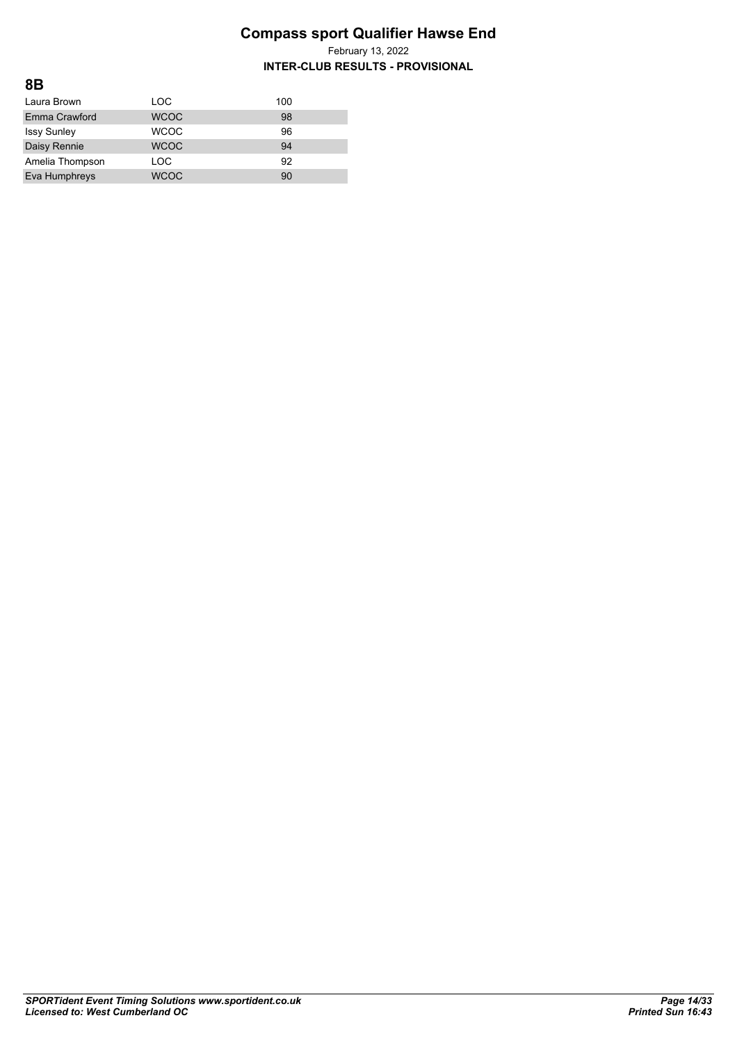| 8Β                 |             |     |
|--------------------|-------------|-----|
| Laura Brown        | LOC         | 100 |
| Emma Crawford      | <b>WCOC</b> | 98  |
| <b>Issy Sunley</b> | <b>WCOC</b> | 96  |
| Daisy Rennie       | <b>WCOC</b> | 94  |
| Amelia Thompson    | LOC         | 92  |
| Eva Humphreys      | <b>WCOC</b> | 90  |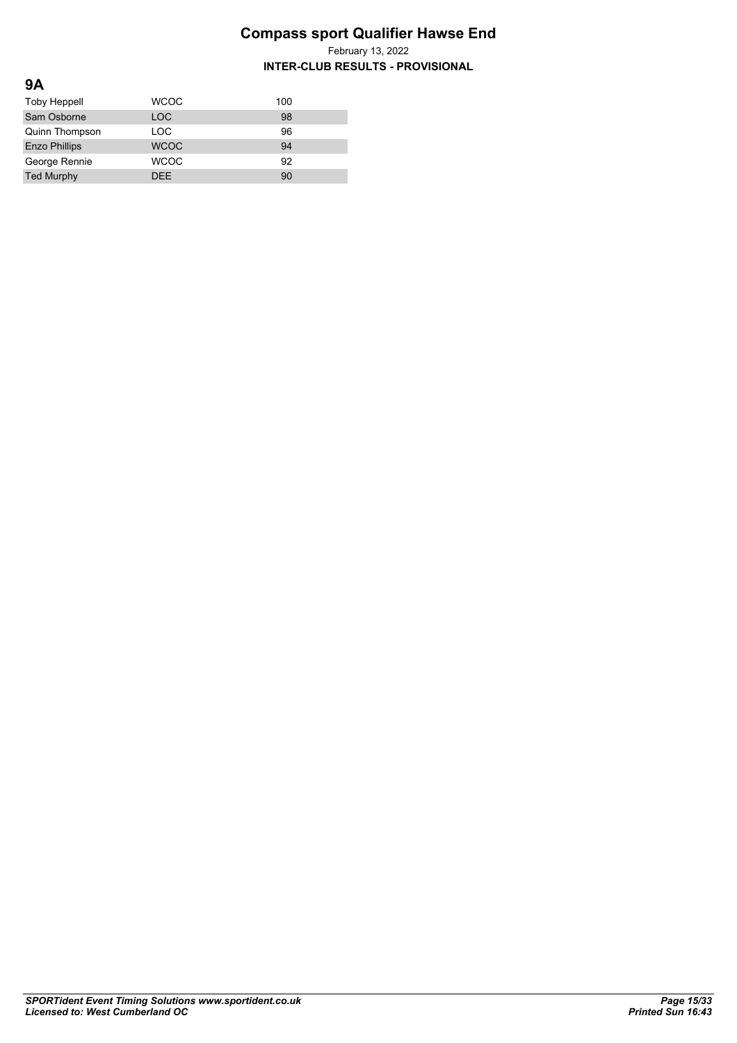| 9Α                   |             |     |
|----------------------|-------------|-----|
| <b>Toby Heppell</b>  | <b>WCOC</b> | 100 |
| Sam Osborne          | <b>LOC</b>  | 98  |
| Quinn Thompson       | LOC         | 96  |
| <b>Enzo Phillips</b> | <b>WCOC</b> | 94  |
| George Rennie        | <b>WCOC</b> | 92  |
| <b>Ted Murphy</b>    | <b>DFF</b>  | 90  |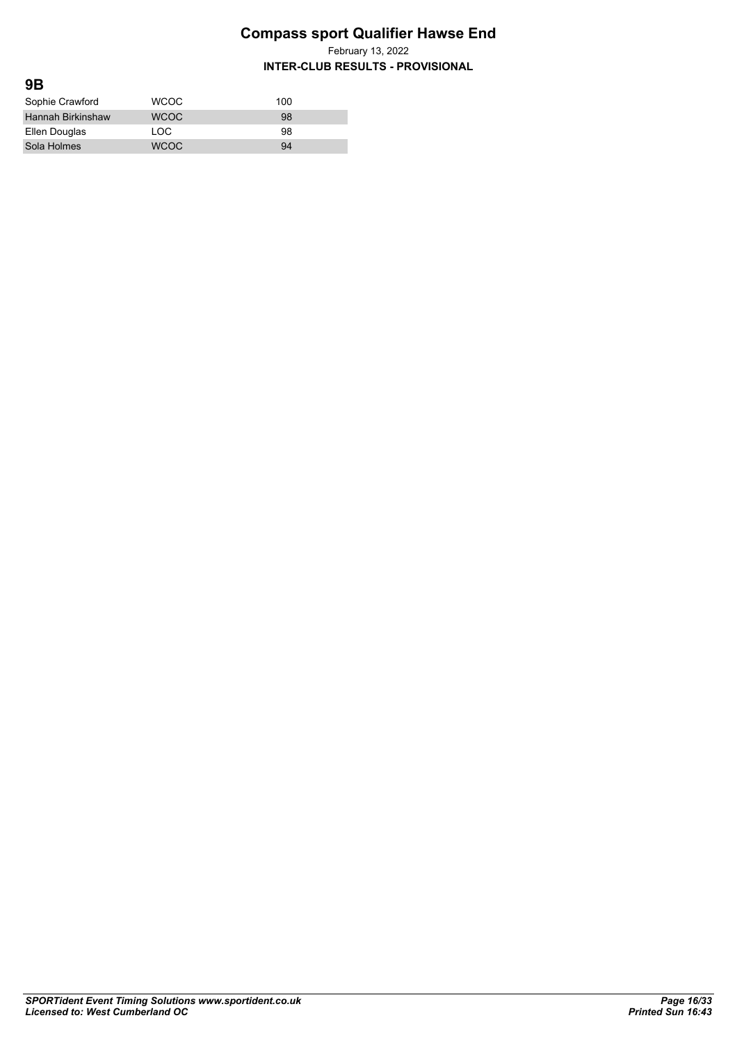February 13, 2022

| 9B                       |             |     |
|--------------------------|-------------|-----|
| Sophie Crawford          | <b>WCOC</b> | 100 |
| <b>Hannah Birkinshaw</b> | <b>WCOC</b> | 98  |
| Ellen Douglas            | LOC.        | 98  |
| Sola Holmes              | <b>WCOC</b> | 94  |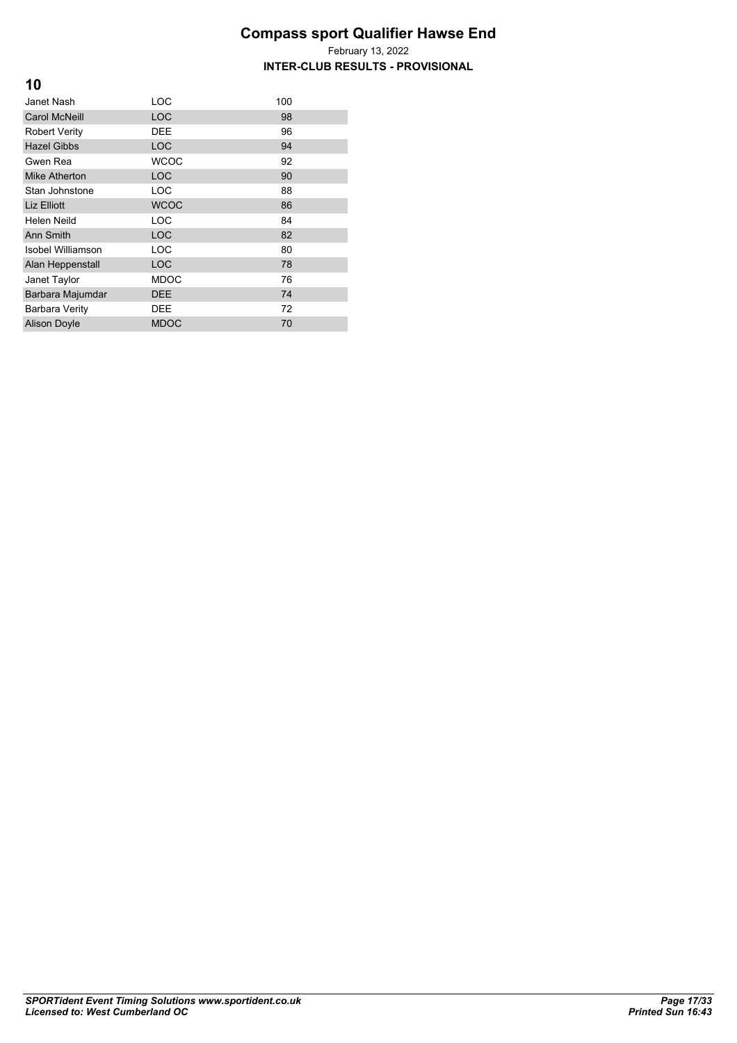| 10                       |             |     |
|--------------------------|-------------|-----|
| Janet Nash               | LOC         | 100 |
| <b>Carol McNeill</b>     | <b>LOC</b>  | 98  |
| <b>Robert Verity</b>     | <b>DEE</b>  | 96  |
| <b>Hazel Gibbs</b>       | <b>LOC</b>  | 94  |
| Gwen Rea                 | <b>WCOC</b> | 92  |
| <b>Mike Atherton</b>     | <b>LOC</b>  | 90  |
| Stan Johnstone           | <b>LOC</b>  | 88  |
| Liz Elliott              | <b>WCOC</b> | 86  |
| Helen Neild              | LOC         | 84  |
| Ann Smith                | <b>LOC</b>  | 82  |
| <b>Isobel Williamson</b> | LOC         | 80  |
| Alan Heppenstall         | <b>LOC</b>  | 78  |
| Janet Taylor             | <b>MDOC</b> | 76  |
| Barbara Majumdar         | <b>DEE</b>  | 74  |
| <b>Barbara Verity</b>    | <b>DEE</b>  | 72  |
| <b>Alison Doyle</b>      | <b>MDOC</b> | 70  |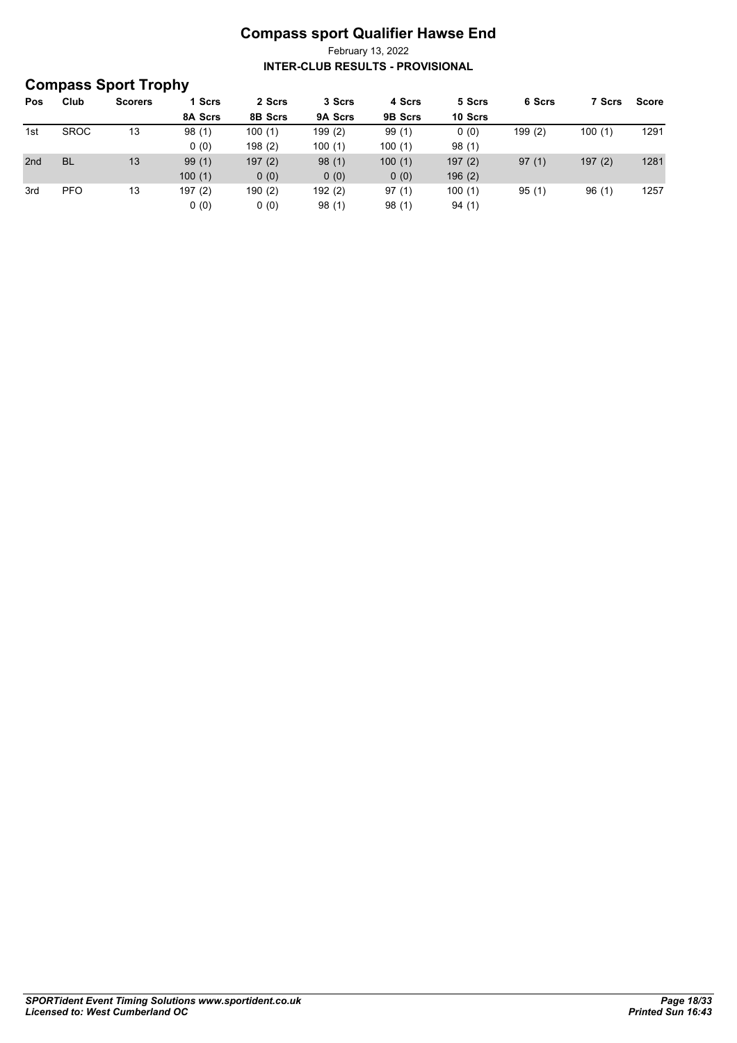| <b>Compass Sport Trophy</b> |             |                |         |         |         |         |         |        |        |       |
|-----------------------------|-------------|----------------|---------|---------|---------|---------|---------|--------|--------|-------|
| Pos                         | Club        | <b>Scorers</b> | 1 Scrs  | 2 Scrs  | 3 Scrs  | 4 Scrs  | 5 Scrs  | 6 Scrs | 7 Scrs | Score |
|                             |             |                | 8A Scrs | 8B Scrs | 9A Scrs | 9B Scrs | 10 Scrs |        |        |       |
| 1st                         | <b>SROC</b> | 13             | 98(1)   | 100(1)  | 199(2)  | 99(1)   | 0(0)    | 199(2) | 100(1) | 1291  |
|                             |             |                | 0(0)    | 198(2)  | 100(1)  | 100(1)  | 98(1)   |        |        |       |
| 2nd                         | <b>BL</b>   | 13             | 99(1)   | 197(2)  | 98(1)   | 100(1)  | 197(2)  | 97(1)  | 197(2) | 1281  |
|                             |             |                | 100(1)  | 0(0)    | 0(0)    | 0(0)    | 196(2)  |        |        |       |
| 3rd                         | <b>PFO</b>  | 13             | 197(2)  | 190(2)  | 192(2)  | 97(1)   | 100(1)  | 95(1)  | 96(1)  | 1257  |
|                             |             |                | 0(0)    | 0(0)    | 98(1)   | 98(1)   | 94(1)   |        |        |       |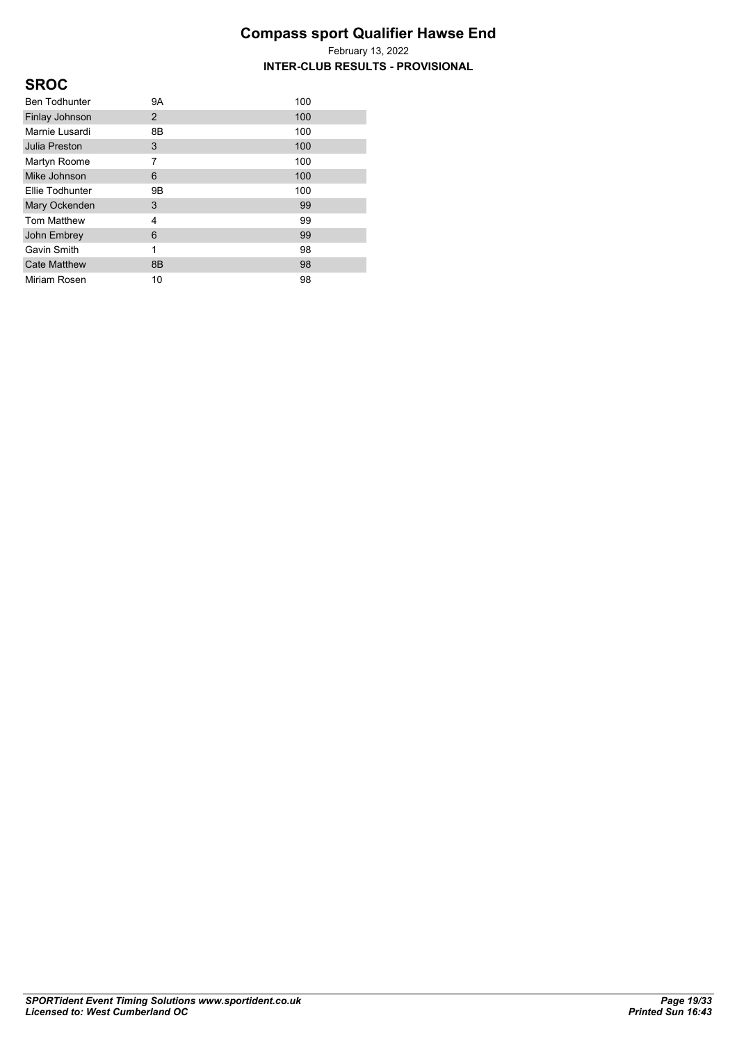| <b>SROC</b>          |                |     |
|----------------------|----------------|-----|
| <b>Ben Todhunter</b> | 9A             | 100 |
| Finlay Johnson       | $\overline{2}$ | 100 |
| Marnie Lusardi       | 8B             | 100 |
| <b>Julia Preston</b> | 3              | 100 |
| Martyn Roome         | 7              | 100 |
| Mike Johnson         | 6              | 100 |
| Ellie Todhunter      | 9Β             | 100 |
| Mary Ockenden        | 3              | 99  |
| <b>Tom Matthew</b>   | 4              | 99  |
| John Embrey          | 6              | 99  |
| Gavin Smith          | 1              | 98  |
| <b>Cate Matthew</b>  | 8B             | 98  |
| Miriam Rosen         | 10             | 98  |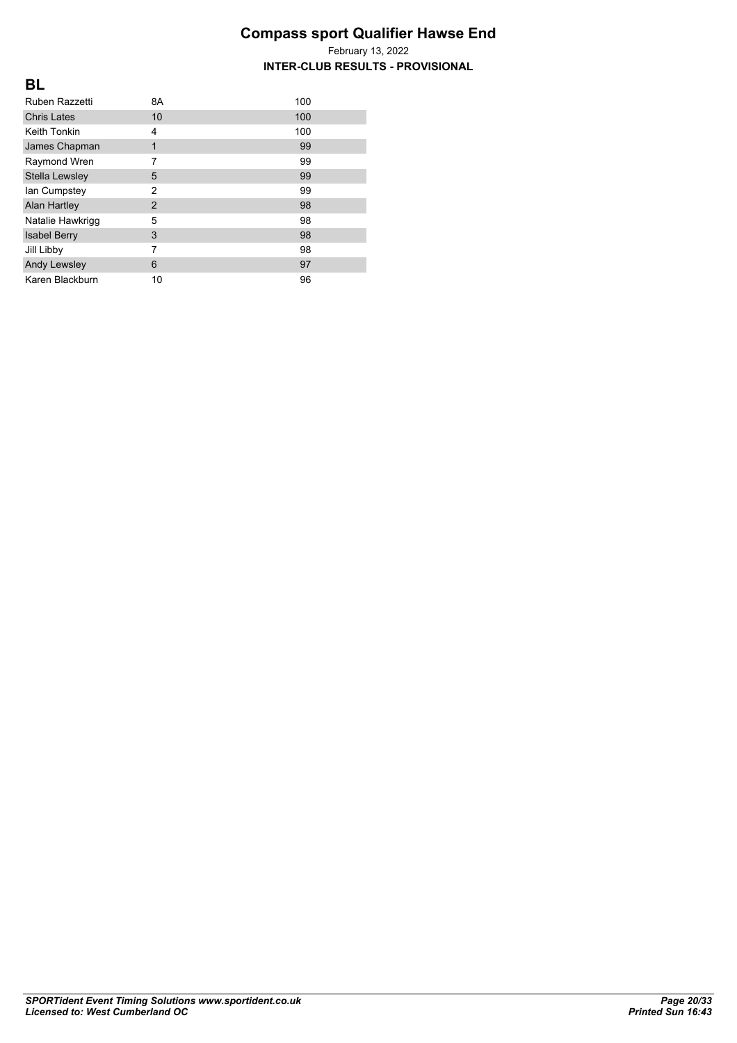| Ruben Razzetti      | 8A             | 100 |
|---------------------|----------------|-----|
| <b>Chris Lates</b>  | 10             | 100 |
| <b>Keith Tonkin</b> | 4              | 100 |
| James Chapman       | 1              | 99  |
| Raymond Wren        | 7              | 99  |
| Stella Lewsley      | 5              | 99  |
| lan Cumpstey        | $\overline{2}$ | 99  |
| <b>Alan Hartley</b> | $\overline{2}$ | 98  |
| Natalie Hawkrigg    | 5              | 98  |
| <b>Isabel Berry</b> | 3              | 98  |
| Jill Libby          | 7              | 98  |
| <b>Andy Lewsley</b> | 6              | 97  |
| Karen Blackburn     | 10             | 96  |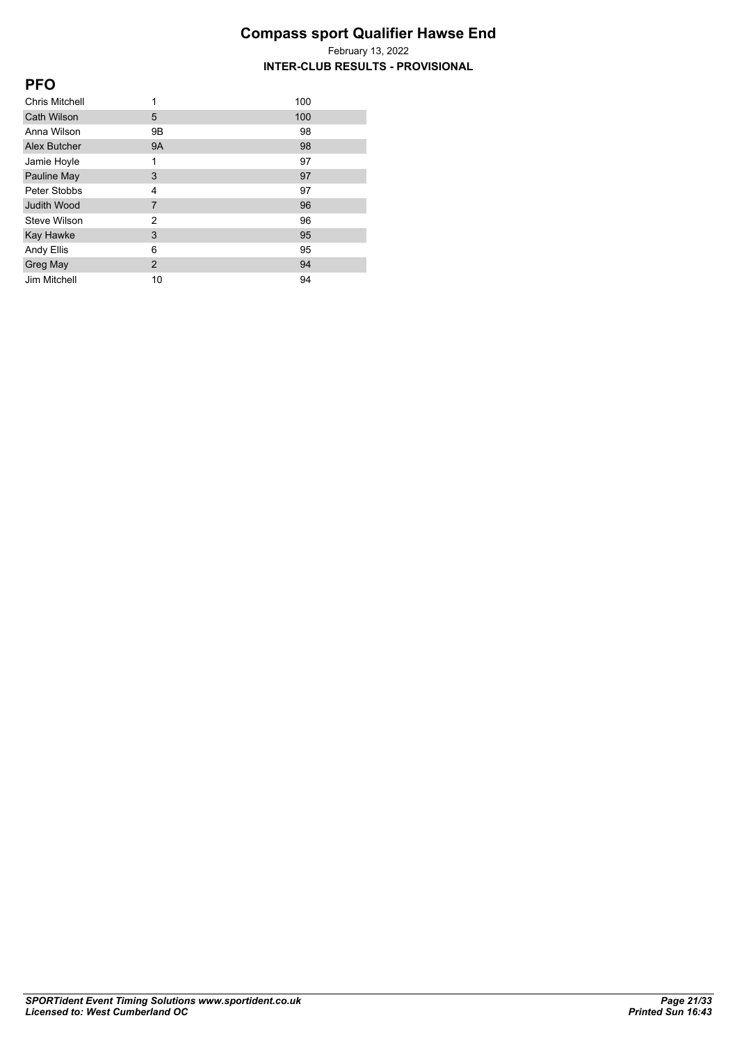| <b>PFO</b>         |                |     |
|--------------------|----------------|-----|
| Chris Mitchell     | 1              | 100 |
| <b>Cath Wilson</b> | 5              | 100 |
| Anna Wilson        | 9Β             | 98  |
| Alex Butcher       | <b>9A</b>      | 98  |
| Jamie Hoyle        | 1              | 97  |
| Pauline May        | 3              | 97  |
| Peter Stobbs       | 4              | 97  |
| <b>Judith Wood</b> | $\overline{7}$ | 96  |
| Steve Wilson       | $\overline{2}$ | 96  |
| Kay Hawke          | 3              | 95  |
| Andy Ellis         | 6              | 95  |
| <b>Greg May</b>    | $\overline{2}$ | 94  |
| Jim Mitchell       | 10             | 94  |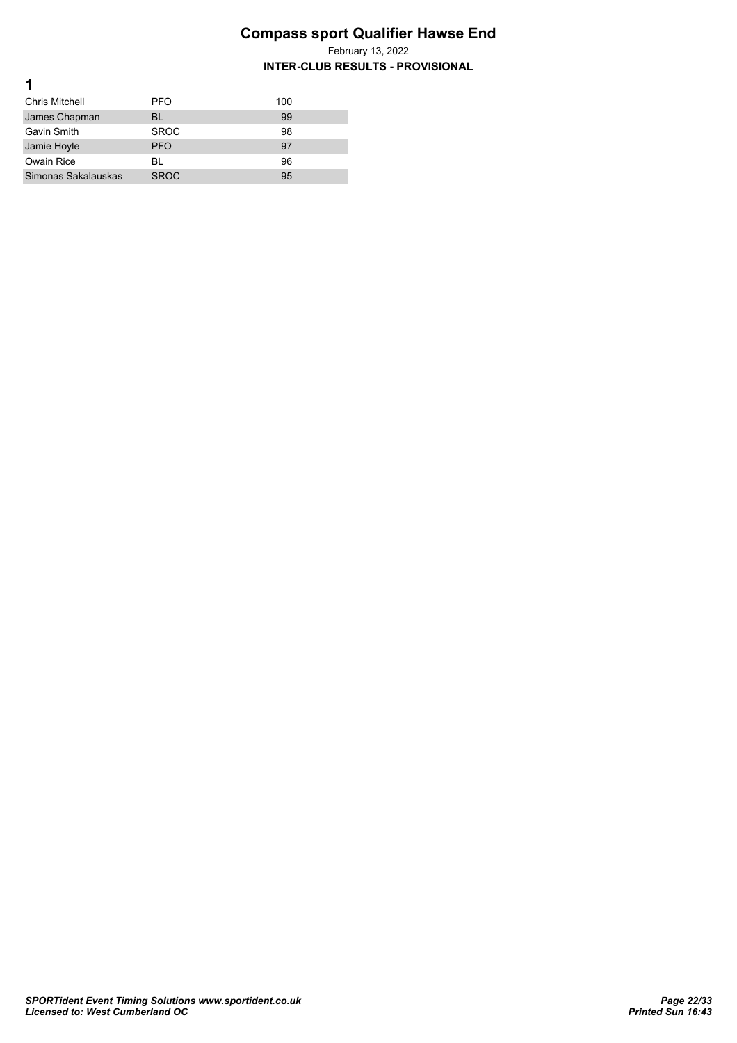| <b>Chris Mitchell</b> | <b>PFO</b>  | 100 |
|-----------------------|-------------|-----|
| James Chapman         | <b>BL</b>   | 99  |
| Gavin Smith           | <b>SROC</b> | 98  |
| Jamie Hoyle           | <b>PFO</b>  | 97  |
| Owain Rice            | BL          | 96  |
| Simonas Sakalauskas   | <b>SROC</b> | 95  |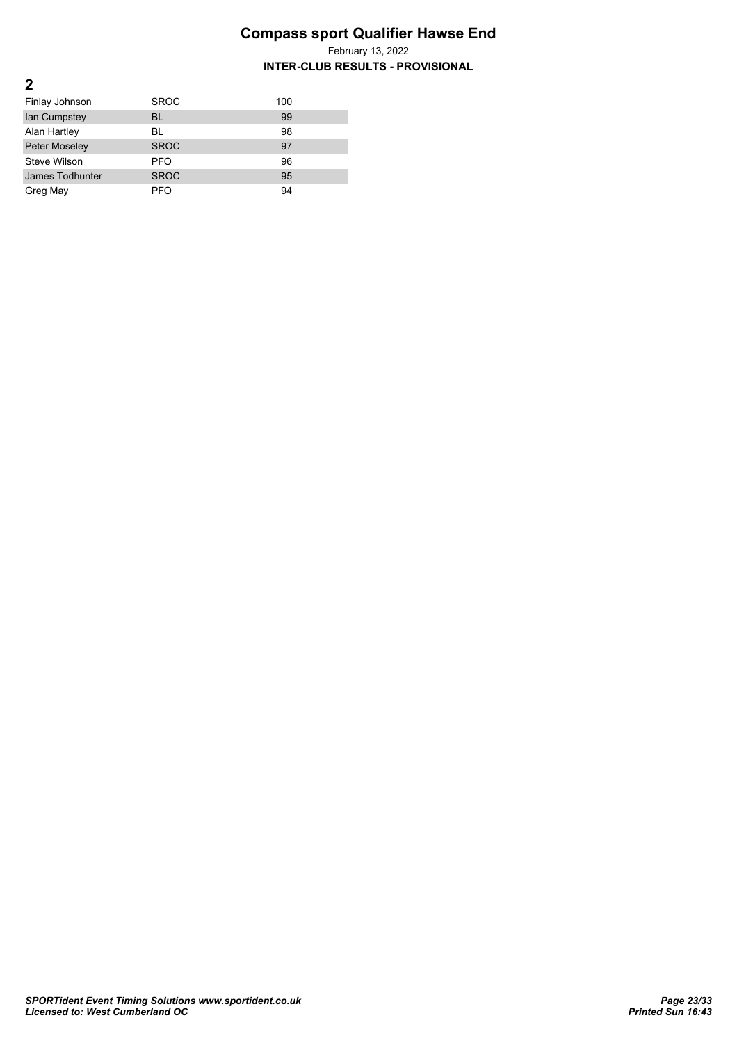| Finlay Johnson  | <b>SROC</b> | 100 |
|-----------------|-------------|-----|
| lan Cumpstey    | BL          | 99  |
| Alan Hartley    | BL          | 98  |
| Peter Moseley   | <b>SROC</b> | 97  |
| Steve Wilson    | <b>PFO</b>  | 96  |
| James Todhunter | <b>SROC</b> | 95  |
| Greg May        | <b>PFO</b>  | 94  |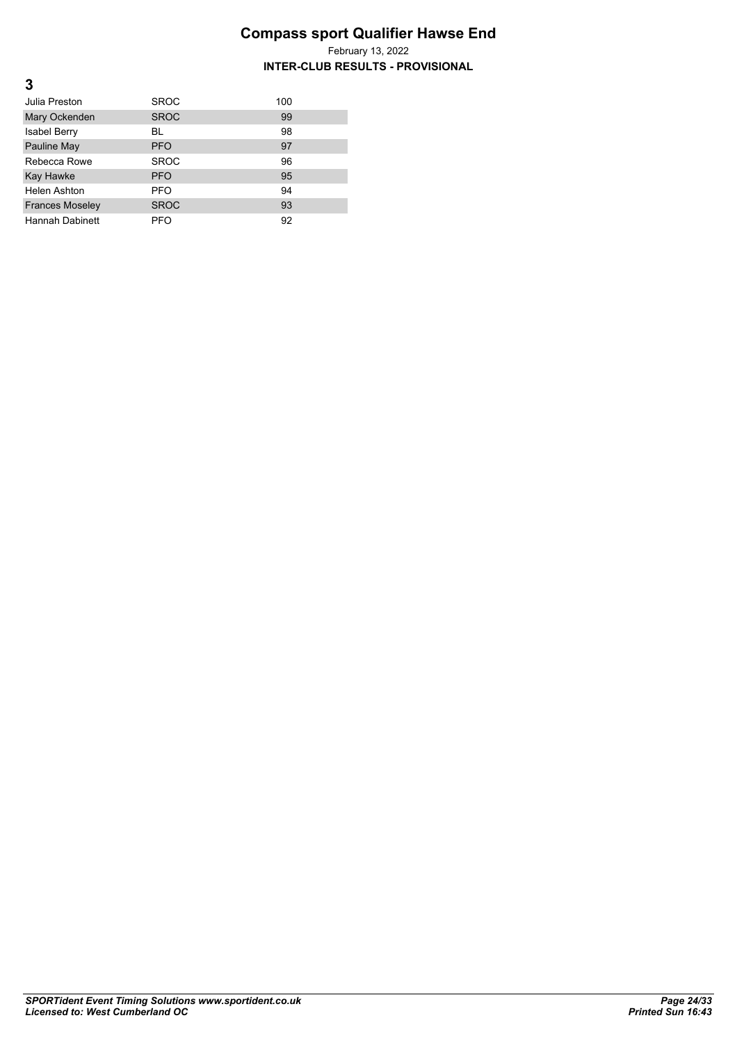**INTER-CLUB RESULTS - PROVISIONAL**

| Julia Preston          | <b>SROC</b> | 100 |
|------------------------|-------------|-----|
| Mary Ockenden          | <b>SROC</b> | 99  |
| <b>Isabel Berry</b>    | BL          | 98  |
| Pauline May            | <b>PFO</b>  | 97  |
| Rebecca Rowe           | <b>SROC</b> | 96  |
| Kay Hawke              | <b>PFO</b>  | 95  |
| <b>Helen Ashton</b>    | <b>PFO</b>  | 94  |
| <b>Frances Moseley</b> | <b>SROC</b> | 93  |
| <b>Hannah Dabinett</b> | <b>PFO</b>  | 92  |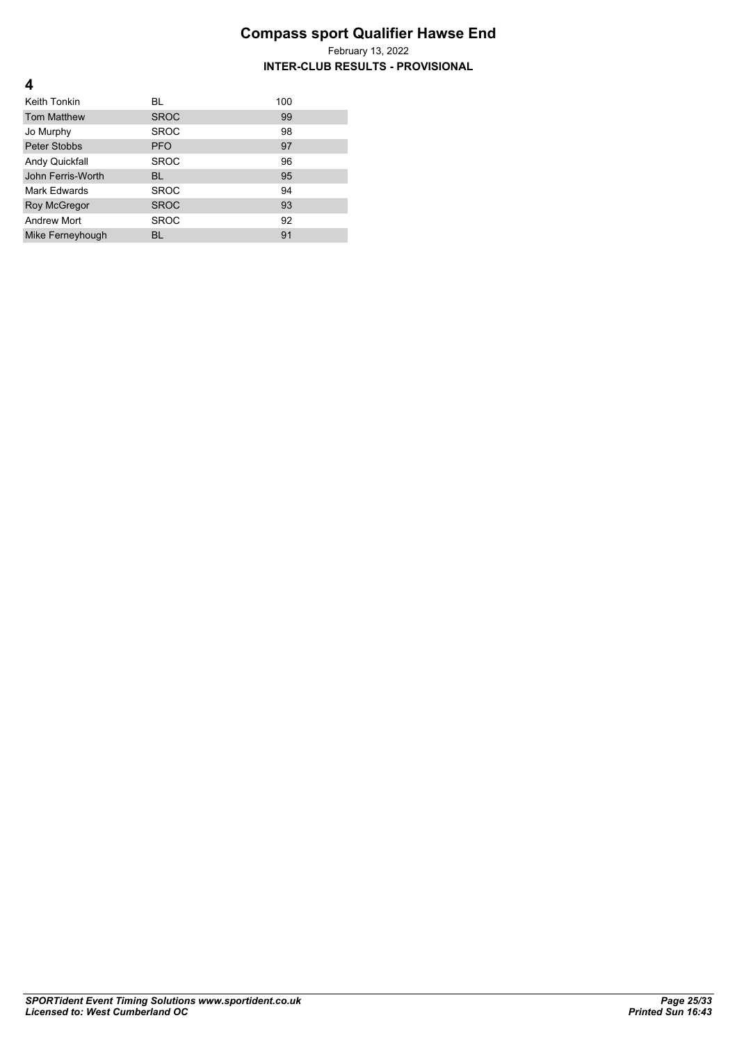**INTER-CLUB RESULTS - PROVISIONAL**

| Keith Tonkin        | BL          | 100 |
|---------------------|-------------|-----|
| <b>Tom Matthew</b>  | <b>SROC</b> | 99  |
| Jo Murphy           | <b>SROC</b> | 98  |
| Peter Stobbs        | <b>PFO</b>  | 97  |
| Andy Quickfall      | <b>SROC</b> | 96  |
| John Ferris-Worth   | <b>BL</b>   | 95  |
| Mark Edwards        | <b>SROC</b> | 94  |
| <b>Roy McGregor</b> | <b>SROC</b> | 93  |
| <b>Andrew Mort</b>  | <b>SROC</b> | 92  |
| Mike Ferneyhough    | BL          | 91  |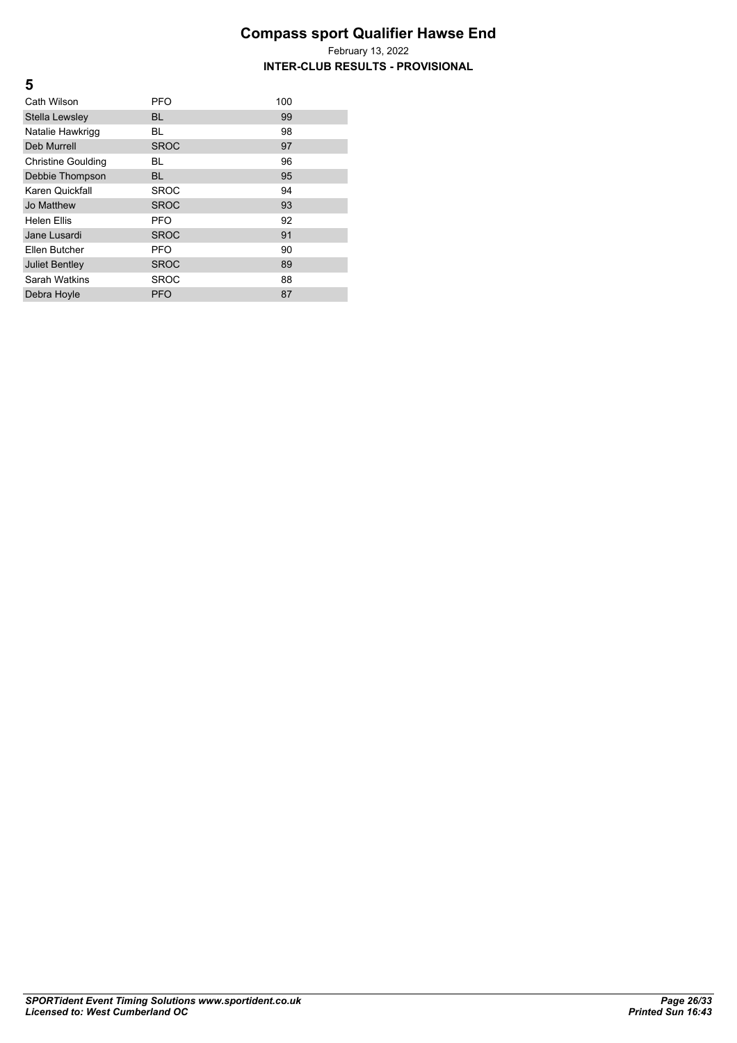February 13, 2022 **INTER-CLUB RESULTS - PROVISIONAL**

| Cath Wilson               | <b>PFO</b>  | 100 |
|---------------------------|-------------|-----|
| Stella Lewsley            | <b>BL</b>   | 99  |
| Natalie Hawkrigg          | BL          | 98  |
| <b>Deb Murrell</b>        | <b>SROC</b> | 97  |
| <b>Christine Goulding</b> | BL          | 96  |
| Debbie Thompson           | <b>BL</b>   | 95  |
| Karen Quickfall           | <b>SROC</b> | 94  |
| Jo Matthew                | <b>SROC</b> | 93  |
| <b>Helen Fllis</b>        | <b>PFO</b>  | 92  |
| Jane Lusardi              | <b>SROC</b> | 91  |
| Ellen Butcher             | <b>PFO</b>  | 90  |
| <b>Juliet Bentley</b>     | <b>SROC</b> | 89  |
| Sarah Watkins             | <b>SROC</b> | 88  |
| Debra Hoyle               | <b>PFO</b>  | 87  |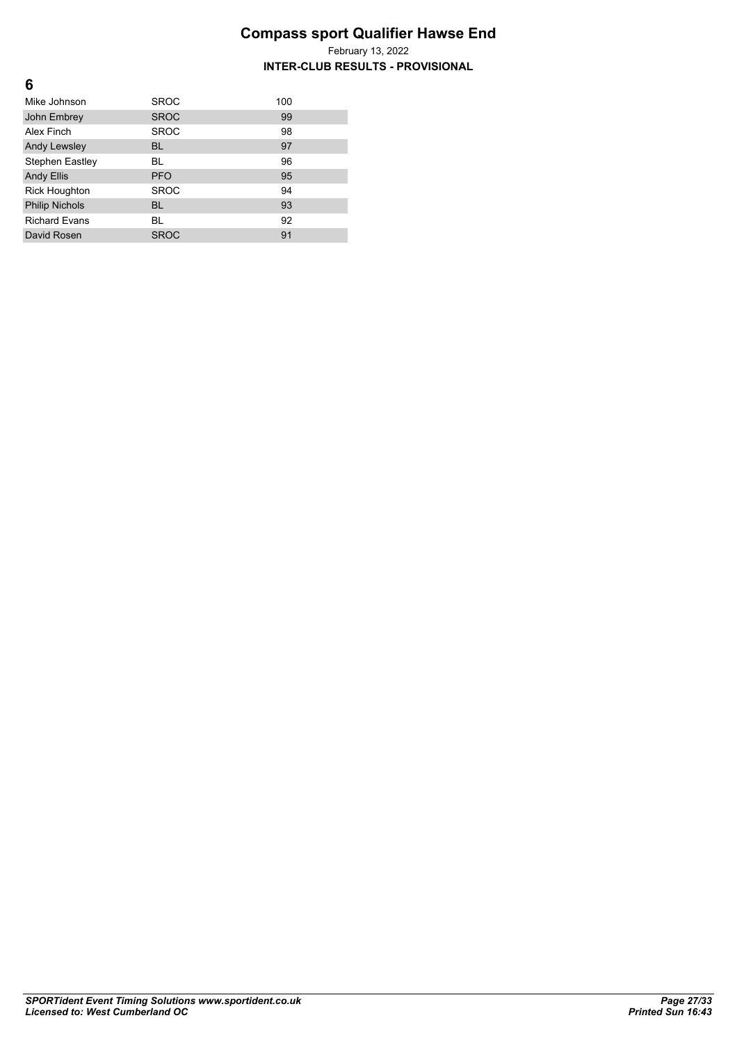| 6                      |             |     |
|------------------------|-------------|-----|
| Mike Johnson           | <b>SROC</b> | 100 |
| John Embrey            | <b>SROC</b> | 99  |
| Alex Finch             | <b>SROC</b> | 98  |
| <b>Andy Lewsley</b>    | <b>BL</b>   | 97  |
| <b>Stephen Eastley</b> | <b>BL</b>   | 96  |
| <b>Andy Ellis</b>      | <b>PFO</b>  | 95  |
| <b>Rick Houghton</b>   | <b>SROC</b> | 94  |
| <b>Philip Nichols</b>  | <b>BL</b>   | 93  |
| <b>Richard Evans</b>   | BL          | 92  |
| David Rosen            | <b>SROC</b> | 91  |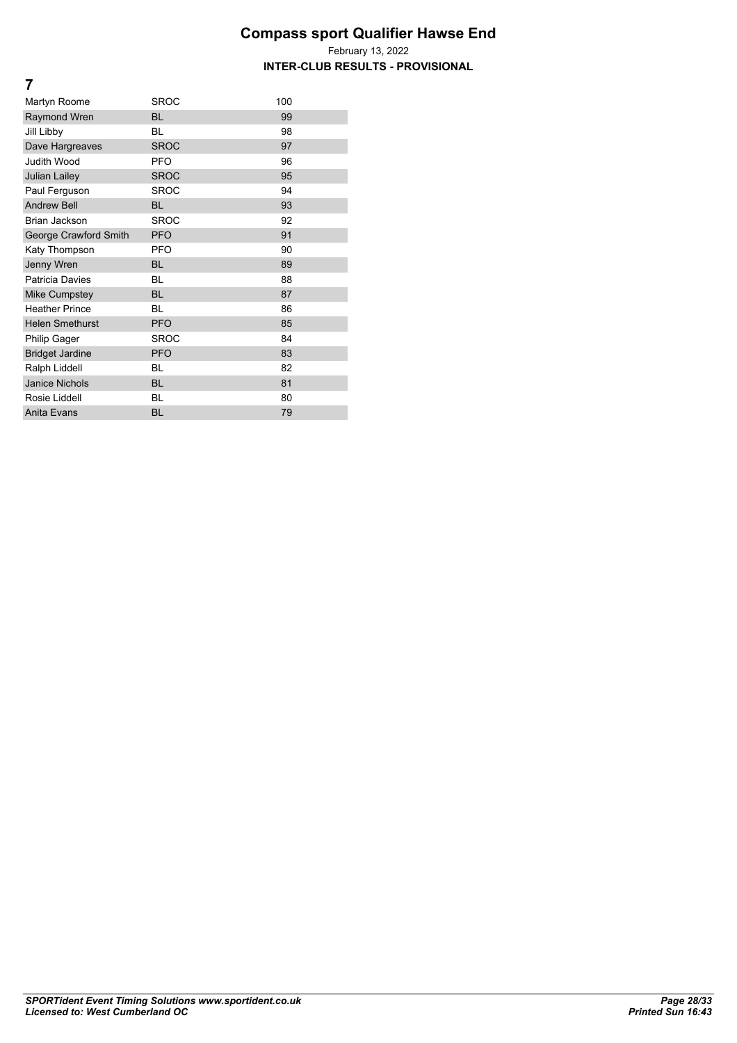**INTER-CLUB RESULTS - PROVISIONAL**

| Martyn Roome           | <b>SROC</b> | 100 |
|------------------------|-------------|-----|
| <b>Raymond Wren</b>    | <b>BL</b>   | 99  |
| Jill Libby             | BL          | 98  |
| Dave Hargreaves        | <b>SROC</b> | 97  |
| <b>Judith Wood</b>     | <b>PFO</b>  | 96  |
| <b>Julian Lailey</b>   | <b>SROC</b> | 95  |
| Paul Ferguson          | <b>SROC</b> | 94  |
| <b>Andrew Bell</b>     | <b>BL</b>   | 93  |
| <b>Brian Jackson</b>   | <b>SROC</b> | 92  |
| George Crawford Smith  | <b>PFO</b>  | 91  |
| Katy Thompson          | <b>PFO</b>  | 90  |
| Jenny Wren             | <b>BL</b>   | 89  |
| Patricia Davies        | <b>BL</b>   | 88  |
| <b>Mike Cumpstey</b>   | <b>BL</b>   | 87  |
| <b>Heather Prince</b>  | <b>BL</b>   | 86  |
| <b>Helen Smethurst</b> | <b>PFO</b>  | 85  |
| <b>Philip Gager</b>    | <b>SROC</b> | 84  |
| <b>Bridget Jardine</b> | <b>PFO</b>  | 83  |
| Ralph Liddell          | <b>BL</b>   | 82  |
| <b>Janice Nichols</b>  | <b>BL</b>   | 81  |
| Rosie Liddell          | BL          | 80  |
| Anita Evans            | <b>BL</b>   | 79  |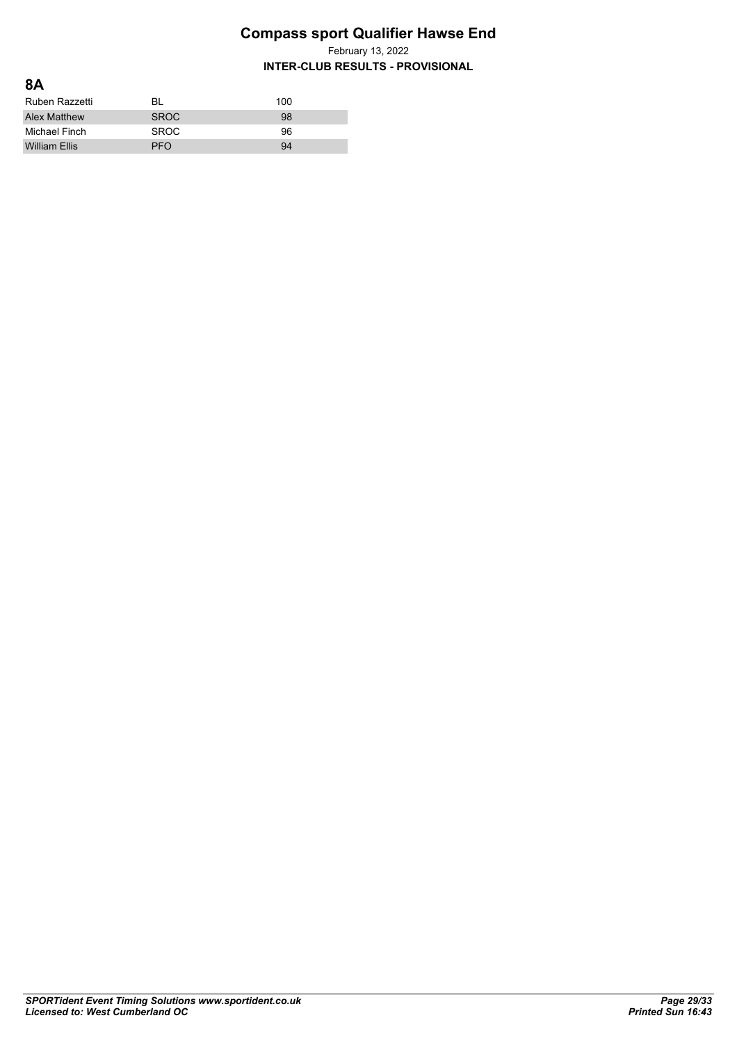February 13, 2022

| 8A                   |             |     |
|----------------------|-------------|-----|
| Ruben Razzetti       | BL          | 100 |
| <b>Alex Matthew</b>  | <b>SROC</b> | 98  |
| Michael Finch        | <b>SROC</b> | 96  |
| <b>William Ellis</b> | PFO         | 94  |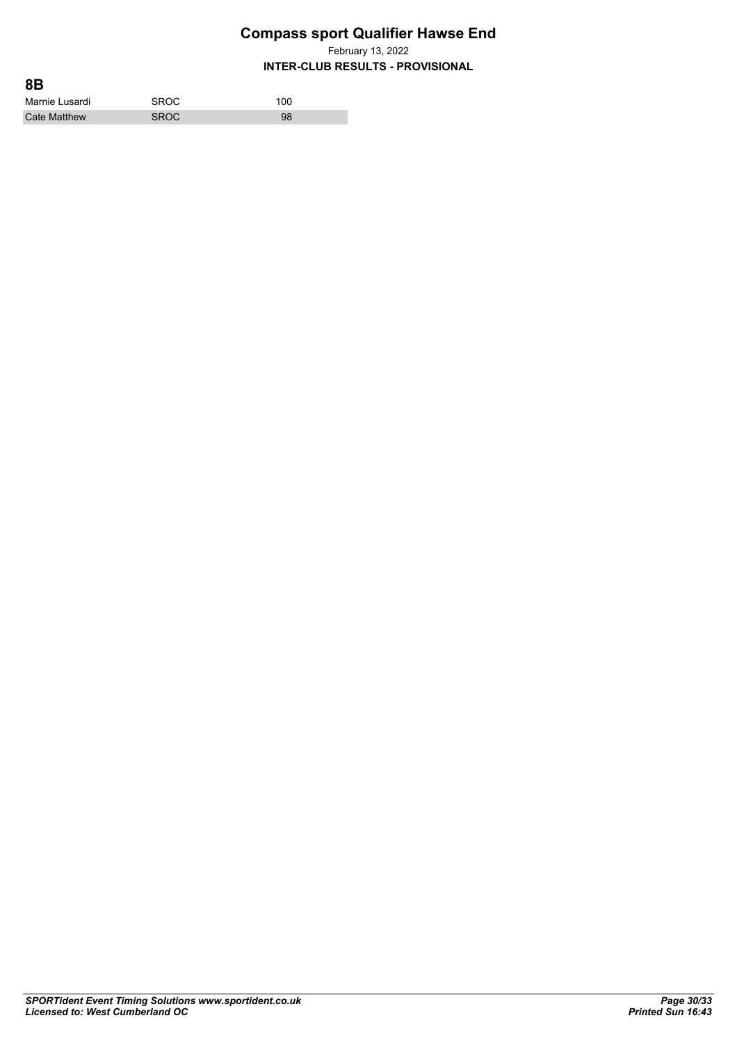February 13, 2022

| 8B                  |             |     |  |
|---------------------|-------------|-----|--|
| Marnie Lusardi      | <b>SROC</b> | 100 |  |
| <b>Cate Matthew</b> | <b>SROC</b> | 98  |  |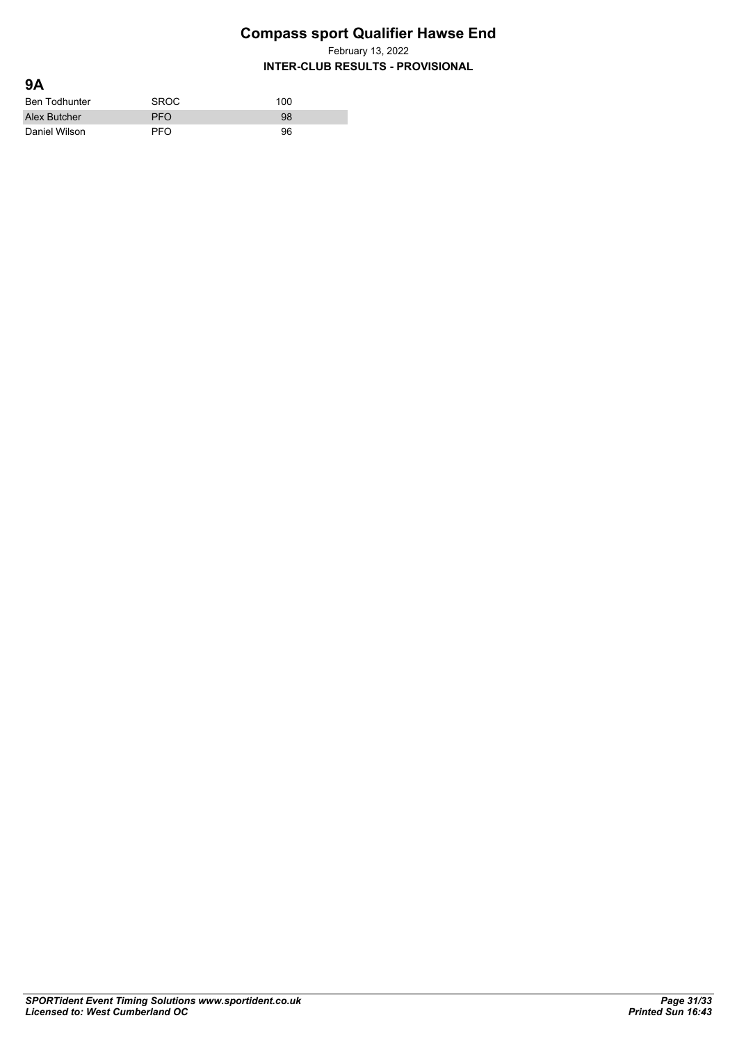February 13, 2022

| <b>9A</b>            |             |     |
|----------------------|-------------|-----|
| <b>Ben Todhunter</b> | <b>SROC</b> | 100 |
| Alex Butcher         | <b>PFO</b>  | 98  |
| Daniel Wilson        | PFO.        | 96  |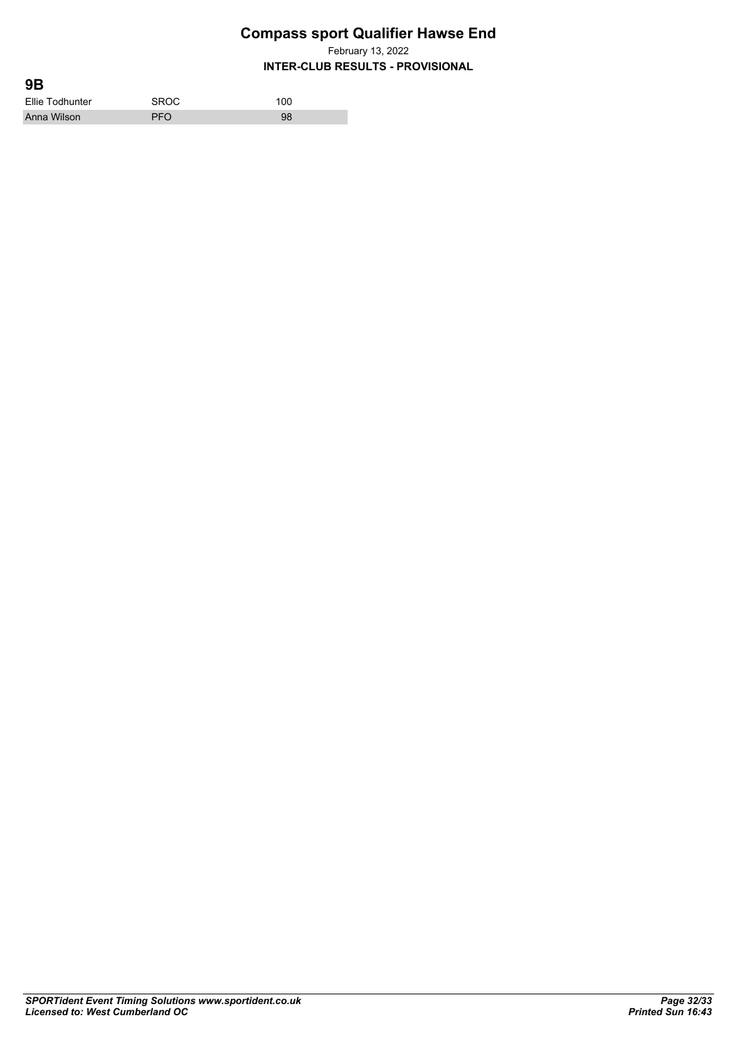February 13, 2022

| 9B              |             |     |  |
|-----------------|-------------|-----|--|
| Ellie Todhunter | <b>SROC</b> | 100 |  |
| Anna Wilson     | <b>PFO</b>  | 98  |  |